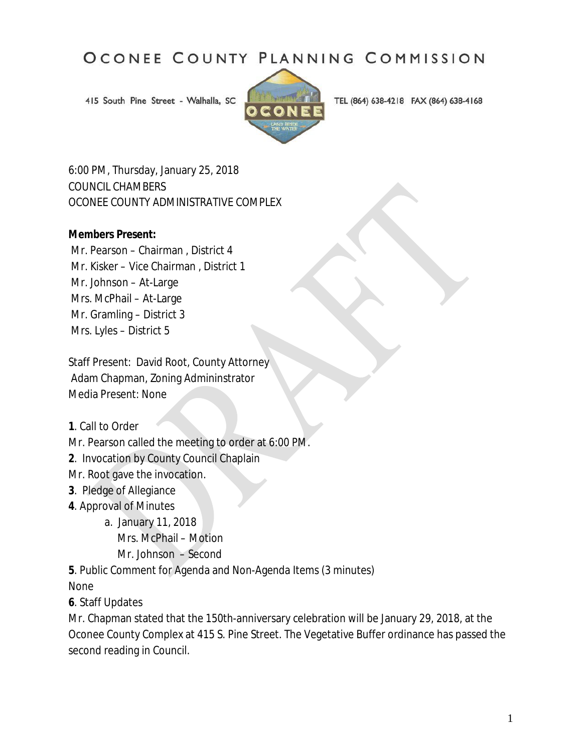# OCONEE COUNTY PLANNING COMMISSION

415 South Pine Street - Walhalla, SC



TEL (864) 638-4218 FAX (864) 638-4168

6:00 PM, Thursday, January 25, 2018 COUNCIL CHAMBERS OCONEE COUNTY ADMINISTRATIVE COMPLEX

#### **Members Present:**

Mr. Pearson – Chairman , District 4 Mr. Kisker – Vice Chairman , District 1 Mr. Johnson – At-Large Mrs. McPhail – At-Large Mr. Gramling – District 3 Mrs. Lyles – District 5

Staff Present: David Root, County Attorney Adam Chapman, Zoning Admininstrator Media Present: None

**1**. Call to Order

Mr. Pearson called the meeting to order at 6:00 PM.

**2**. Invocation by County Council Chaplain

Mr. Root gave the invocation.

- **3**. Pledge of Allegiance
- **4**. Approval of Minutes
	- a. January 11, 2018 Mrs. McPhail – Motion Mr. Johnson – Second

**5**. Public Comment for Agenda and Non-Agenda Items (3 minutes)

None

**6**. Staff Updates

Mr. Chapman stated that the 150th-anniversary celebration will be January 29, 2018, at the Oconee County Complex at 415 S. Pine Street. The Vegetative Buffer ordinance has passed the second reading in Council.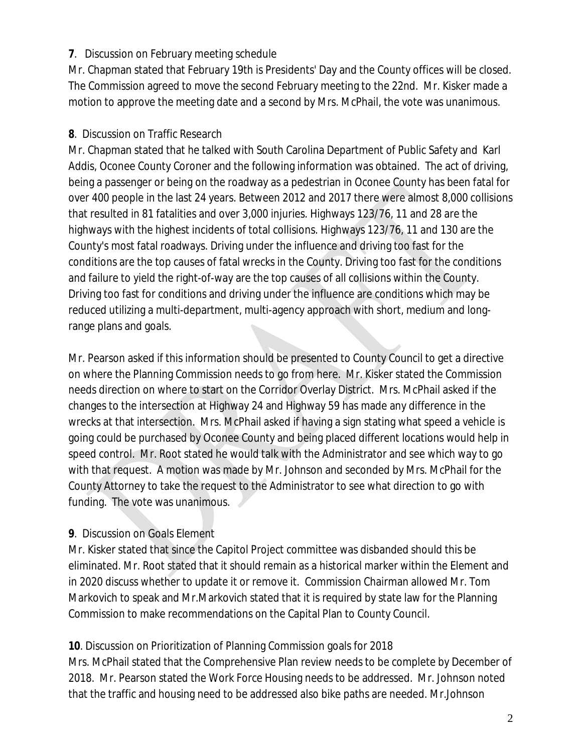#### **7**. Discussion on February meeting schedule

Mr. Chapman stated that February 19th is Presidents' Day and the County offices will be closed. The Commission agreed to move the second February meeting to the 22nd. Mr. Kisker made a motion to approve the meeting date and a second by Mrs. McPhail, the vote was unanimous.

#### **8**. Discussion on Traffic Research

Mr. Chapman stated that he talked with South Carolina Department of Public Safety and Karl Addis, Oconee County Coroner and the following information was obtained. The act of driving, being a passenger or being on the roadway as a pedestrian in Oconee County has been fatal for over 400 people in the last 24 years. Between 2012 and 2017 there were almost 8,000 collisions that resulted in 81 fatalities and over 3,000 injuries. Highways 123/76, 11 and 28 are the highways with the highest incidents of total collisions. Highways 123/76, 11 and 130 are the County's most fatal roadways. Driving under the influence and driving too fast for the conditions are the top causes of fatal wrecks in the County. Driving too fast for the conditions and failure to yield the right-of-way are the top causes of all collisions within the County. Driving too fast for conditions and driving under the influence are conditions which may be reduced utilizing a multi-department, multi-agency approach with short, medium and longrange plans and goals.

Mr. Pearson asked if this information should be presented to County Council to get a directive on where the Planning Commission needs to go from here. Mr. Kisker stated the Commission needs direction on where to start on the Corridor Overlay District. Mrs. McPhail asked if the changes to the intersection at Highway 24 and Highway 59 has made any difference in the wrecks at that intersection. Mrs. McPhail asked if having a sign stating what speed a vehicle is going could be purchased by Oconee County and being placed different locations would help in speed control. Mr. Root stated he would talk with the Administrator and see which way to go with that request. A motion was made by Mr. Johnson and seconded by Mrs. McPhail for the County Attorney to take the request to the Administrator to see what direction to go with funding. The vote was unanimous.

# **9**. Discussion on Goals Element

Mr. Kisker stated that since the Capitol Project committee was disbanded should this be eliminated. Mr. Root stated that it should remain as a historical marker within the Element and in 2020 discuss whether to update it or remove it. Commission Chairman allowed Mr. Tom Markovich to speak and Mr.Markovich stated that it is required by state law for the Planning Commission to make recommendations on the Capital Plan to County Council.

# **10**. Discussion on Prioritization of Planning Commission goals for 2018

Mrs. McPhail stated that the Comprehensive Plan review needs to be complete by December of 2018. Mr. Pearson stated the Work Force Housing needs to be addressed. Mr. Johnson noted that the traffic and housing need to be addressed also bike paths are needed. Mr.Johnson